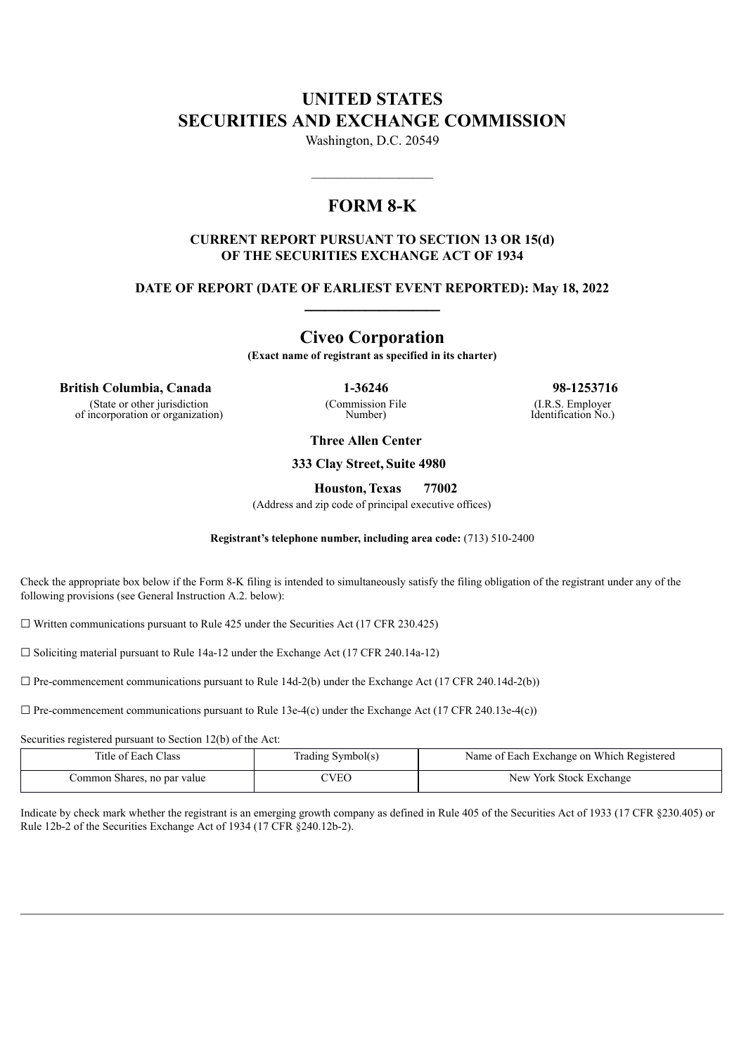# **UNITED STATES SECURITIES AND EXCHANGE COMMISSION**

Washington, D.C. 20549

## **FORM 8-K**

 $\overline{\phantom{a}}$  , where  $\overline{\phantom{a}}$ 

### **CURRENT REPORT PURSUANT TO SECTION 13 OR 15(d) OF THE SECURITIES EXCHANGE ACT OF 1934**

**DATE OF REPORT (DATE OF EARLIEST EVENT REPORTED): May 18, 2022** \_\_\_\_\_\_\_\_\_\_\_\_\_\_\_\_\_\_\_\_

**Civeo Corporation**

**(Exact name of registrant as specified in its charter)**

**British Columbia, Canada 1-36246 98-1253716**

(State or other jurisdiction of incorporation or organization)

(Commission File Number)

(I.R.S. Employer Identification No.)

**Three Allen Center**

**333 Clay Street, Suite 4980**

**Houston, Texas 77002**

(Address and zip code of principal executive offices)

#### **Registrant's telephone number, including area code:** (713) 510-2400

Check the appropriate box below if the Form 8-K filing is intended to simultaneously satisfy the filing obligation of the registrant under any of the following provisions (see General Instruction A.2. below):

 $\Box$  Written communications pursuant to Rule 425 under the Securities Act (17 CFR 230.425)

 $\Box$  Soliciting material pursuant to Rule 14a-12 under the Exchange Act (17 CFR 240.14a-12)

 $\Box$  Pre-commencement communications pursuant to Rule 14d-2(b) under the Exchange Act (17 CFR 240.14d-2(b))

 $\Box$  Pre-commencement communications pursuant to Rule 13e-4(c) under the Exchange Act (17 CFR 240.13e-4(c))

Securities registered pursuant to Section 12(b) of the Act:

| Title of Each Class         | Trading Symbol(s) | Name of Each Exchange on Which Registered |
|-----------------------------|-------------------|-------------------------------------------|
| Common Shares, no par value | CVEC              | New York Stock Exchange                   |

Indicate by check mark whether the registrant is an emerging growth company as defined in Rule 405 of the Securities Act of 1933 (17 CFR §230.405) or Rule 12b-2 of the Securities Exchange Act of 1934 (17 CFR §240.12b-2).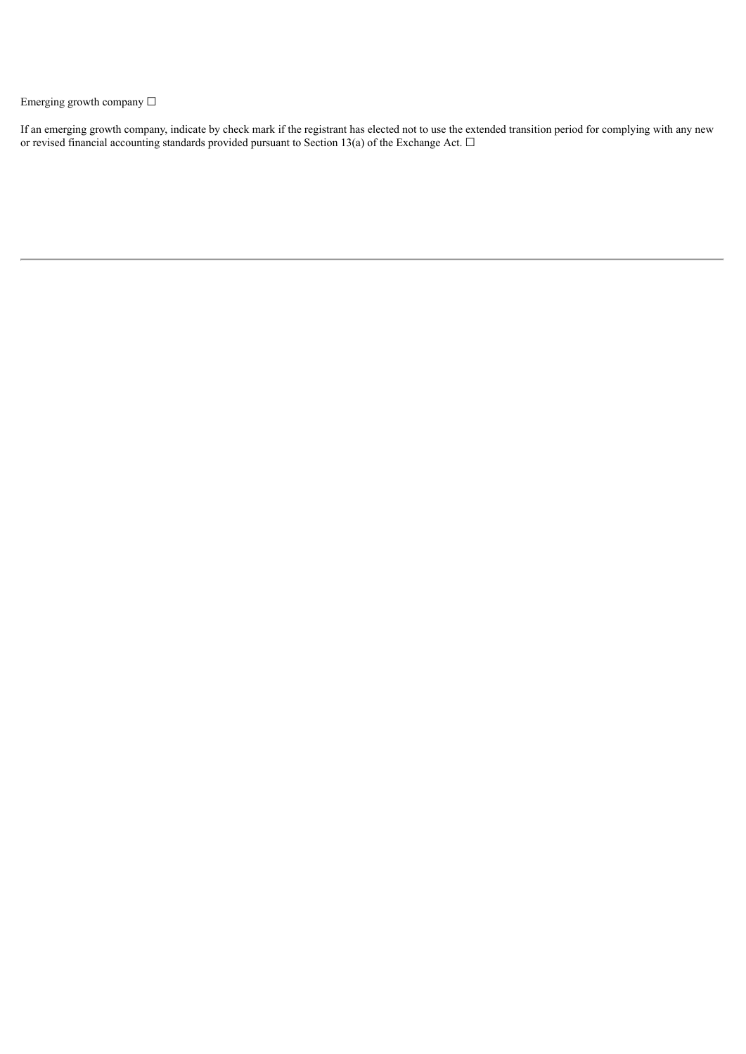Emerging growth company □

If an emerging growth company, indicate by check mark if the registrant has elected not to use the extended transition period for complying with any new or revised financial accounting standards provided pursuant to Section 13(a) of the Exchange Act.  $\Box$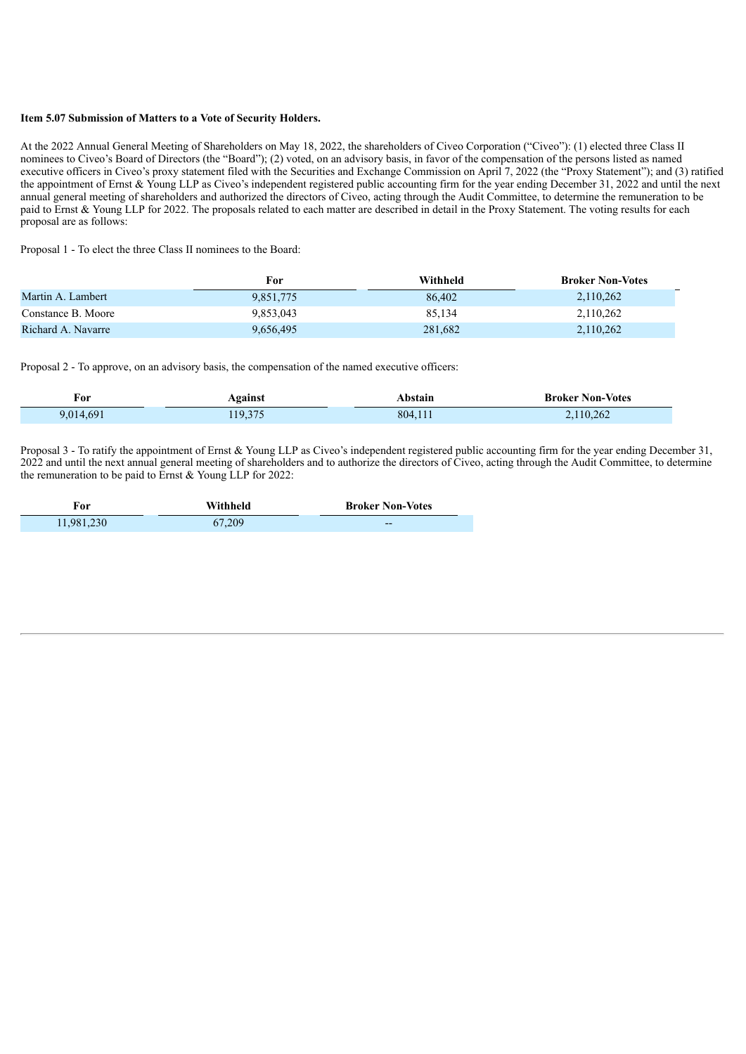#### **Item 5.07 Submission of Matters to a Vote of Security Holders.**

At the 2022 Annual General Meeting of Shareholders on May 18, 2022, the shareholders of Civeo Corporation ("Civeo"): (1) elected three Class II nominees to Civeo's Board of Directors (the "Board"); (2) voted, on an advisory basis, in favor of the compensation of the persons listed as named executive officers in Civeo's proxy statement filed with the Securities and Exchange Commission on April 7, 2022 (the "Proxy Statement"); and (3) ratified the appointment of Ernst & Young LLP as Civeo's independent registered public accounting firm for the year ending December 31, 2022 and until the next annual general meeting of shareholders and authorized the directors of Civeo, acting through the Audit Committee, to determine the remuneration to be paid to Ernst & Young LLP for 2022. The proposals related to each matter are described in detail in the Proxy Statement. The voting results for each proposal are as follows:

Proposal 1 - To elect the three Class II nominees to the Board:

|                    | For       | Withheld | <b>Broker Non-Votes</b> |
|--------------------|-----------|----------|-------------------------|
| Martin A. Lambert  | 9.851.775 | 86,402   | 2,110,262               |
| Constance B. Moore | 9.853.043 | 85.134   | 2,110,262               |
| Richard A. Navarre | 9.656.495 | 281.682  | 2,110,262               |

Proposal 2 - To approve, on an advisory basis, the compensation of the named executive officers:

| For       | Against | Abstain | <b>Broker Non-Votes</b> |
|-----------|---------|---------|-------------------------|
| 9,014,691 | 119.375 | 804,11  | 2,110,262               |

Proposal 3 - To ratify the appointment of Ernst & Young LLP as Civeo's independent registered public accounting firm for the year ending December 31, 2022 and until the next annual general meeting of shareholders and to authorize the directors of Civeo, acting through the Audit Committee, to determine the remuneration to be paid to Ernst & Young LLP for 2022:

| For        | Withheld | <b>Broker Non-Votes</b> |
|------------|----------|-------------------------|
| 11,981,230 | 67.209   | $- -$                   |